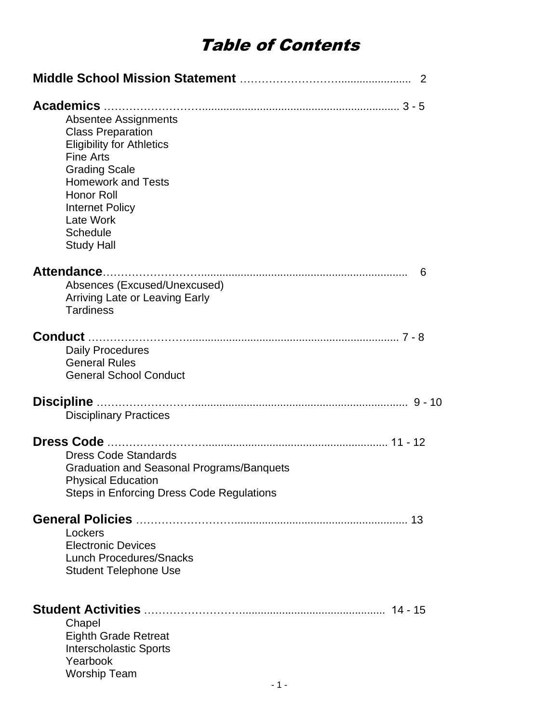# Table of Contents

|                                                                                                                                                                                                                                                                          | -2 |
|--------------------------------------------------------------------------------------------------------------------------------------------------------------------------------------------------------------------------------------------------------------------------|----|
| <b>Absentee Assignments</b><br><b>Class Preparation</b><br><b>Eligibility for Athletics</b><br><b>Fine Arts</b><br><b>Grading Scale</b><br><b>Homework and Tests</b><br><b>Honor Roll</b><br><b>Internet Policy</b><br>Late Work<br><b>Schedule</b><br><b>Study Hall</b> |    |
| Absences (Excused/Unexcused)<br><b>Arriving Late or Leaving Early</b><br><b>Tardiness</b>                                                                                                                                                                                | 6  |
| Daily Procedures<br><b>General Rules</b><br><b>General School Conduct</b>                                                                                                                                                                                                |    |
| Discipline<br><b>Disciplinary Practices</b>                                                                                                                                                                                                                              |    |
| <b>Dress Code Standards</b><br><b>Graduation and Seasonal Programs/Banquets</b><br><b>Physical Education</b><br>Steps in Enforcing Dress Code Regulations                                                                                                                |    |
| 13<br>Lockers<br><b>Electronic Devices</b><br><b>Lunch Procedures/Snacks</b><br><b>Student Telephone Use</b>                                                                                                                                                             |    |
| 14 - 15<br>Chapel<br><b>Eighth Grade Retreat</b><br><b>Interscholastic Sports</b><br>Yearbook<br><b>Worship Team</b>                                                                                                                                                     |    |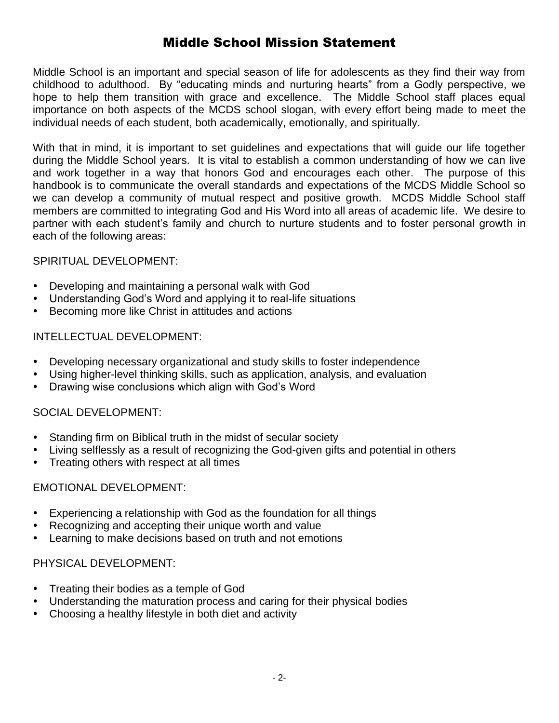# Middle School Mission Statement

Middle School is an important and special season of life for adolescents as they find their way from childhood to adulthood. By "educating minds and nurturing hearts" from a Godly perspective, we hope to help them transition with grace and excellence. The Middle School staff places equal importance on both aspects of the MCDS school slogan, with every effort being made to meet the individual needs of each student, both academically, emotionally, and spiritually.

With that in mind, it is important to set guidelines and expectations that will guide our life together during the Middle School years. It is vital to establish a common understanding of how we can live and work together in a way that honors God and encourages each other. The purpose of this handbook is to communicate the overall standards and expectations of the MCDS Middle School so we can develop a community of mutual respect and positive growth. MCDS Middle School staff members are committed to integrating God and His Word into all areas of academic life. We desire to partner with each student's family and church to nurture students and to foster personal growth in each of the following areas:

#### SPIRITUAL DEVELOPMENT:

- Developing and maintaining a personal walk with God
- Understanding God's Word and applying it to real-life situations
- Becoming more like Christ in attitudes and actions

#### INTELLECTUAL DEVELOPMENT:

- Developing necessary organizational and study skills to foster independence
- Using higher-level thinking skills, such as application, analysis, and evaluation
- Drawing wise conclusions which align with God's Word

#### SOCIAL DEVELOPMENT:

- Standing firm on Biblical truth in the midst of secular society
- Living selflessly as a result of recognizing the God-given gifts and potential in others
- Treating others with respect at all times

#### EMOTIONAL DEVELOPMENT:

- Experiencing a relationship with God as the foundation for all things
- Recognizing and accepting their unique worth and value
- Learning to make decisions based on truth and not emotions

#### PHYSICAL DEVELOPMENT:

- Treating their bodies as a temple of God
- Understanding the maturation process and caring for their physical bodies
- Choosing a healthy lifestyle in both diet and activity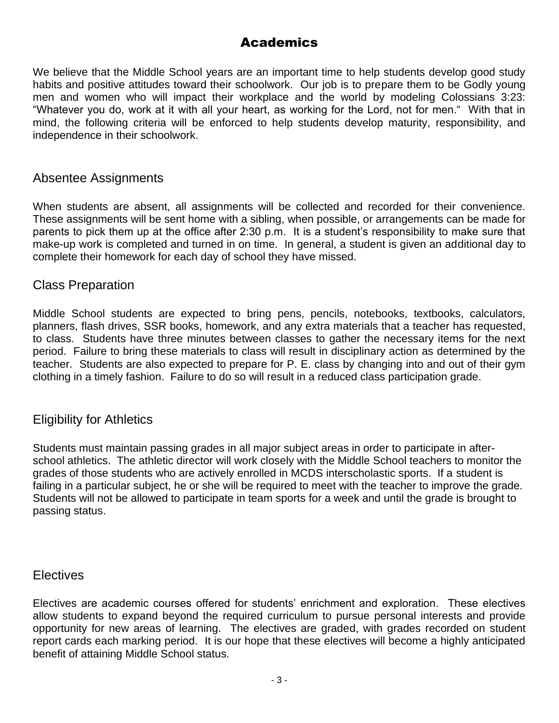## Academics

We believe that the Middle School years are an important time to help students develop good study habits and positive attitudes toward their schoolwork. Our job is to prepare them to be Godly young men and women who will impact their workplace and the world by modeling Colossians 3:23: "Whatever you do, work at it with all your heart, as working for the Lord, not for men." With that in mind, the following criteria will be enforced to help students develop maturity, responsibility, and independence in their schoolwork.

#### Absentee Assignments

When students are absent, all assignments will be collected and recorded for their convenience. These assignments will be sent home with a sibling, when possible, or arrangements can be made for parents to pick them up at the office after 2:30 p.m. It is a student's responsibility to make sure that make-up work is completed and turned in on time. In general, a student is given an additional day to complete their homework for each day of school they have missed.

#### Class Preparation

Middle School students are expected to bring pens, pencils, notebooks, textbooks, calculators, planners, flash drives, SSR books, homework, and any extra materials that a teacher has requested, to class. Students have three minutes between classes to gather the necessary items for the next period. Failure to bring these materials to class will result in disciplinary action as determined by the teacher. Students are also expected to prepare for P. E. class by changing into and out of their gym clothing in a timely fashion. Failure to do so will result in a reduced class participation grade.

#### Eligibility for Athletics

Students must maintain passing grades in all major subject areas in order to participate in afterschool athletics. The athletic director will work closely with the Middle School teachers to monitor the grades of those students who are actively enrolled in MCDS interscholastic sports. If a student is failing in a particular subject, he or she will be required to meet with the teacher to improve the grade. Students will not be allowed to participate in team sports for a week and until the grade is brought to passing status.

#### **Electives**

Electives are academic courses offered for students' enrichment and exploration. These electives allow students to expand beyond the required curriculum to pursue personal interests and provide opportunity for new areas of learning. The electives are graded, with grades recorded on student report cards each marking period. It is our hope that these electives will become a highly anticipated benefit of attaining Middle School status.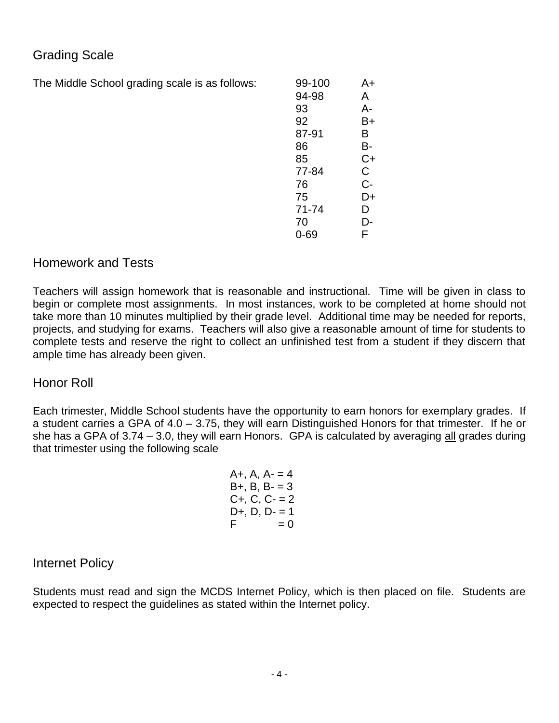# Grading Scale

The Middle School grading scale is as follows:

| 99-100 | A+ |
|--------|----|
| 94-98  | A  |
| 93     | А- |
| 92     | B+ |
| 87-91  | в  |
| 86     | В- |
| 85     | C+ |
| 77-84  | C  |
| 76     | C- |
| 75     | D+ |
| 71-74  | D  |
| 70     | D- |
| Ი-69   | F  |

### Homework and Tests

Teachers will assign homework that is reasonable and instructional. Time will be given in class to begin or complete most assignments. In most instances, work to be completed at home should not take more than 10 minutes multiplied by their grade level. Additional time may be needed for reports, projects, and studying for exams. Teachers will also give a reasonable amount of time for students to complete tests and reserve the right to collect an unfinished test from a student if they discern that ample time has already been given.

#### Honor Roll

Each trimester, Middle School students have the opportunity to earn honors for exemplary grades. If a student carries a GPA of 4.0 – 3.75, they will earn Distinguished Honors for that trimester. If he or she has a GPA of  $3.74 - 3.0$ , they will earn Honors. GPA is calculated by averaging  $all$  grades during that trimester using the following scale

| A+, A, A- = 4 |  |       |  |
|---------------|--|-------|--|
| B+, B, B- = 3 |  |       |  |
| $C+, C, C-=2$ |  |       |  |
| D+, D, D- = 1 |  |       |  |
| F             |  | $= 0$ |  |

#### Internet Policy

Students must read and sign the MCDS Internet Policy, which is then placed on file. Students are expected to respect the guidelines as stated within the Internet policy.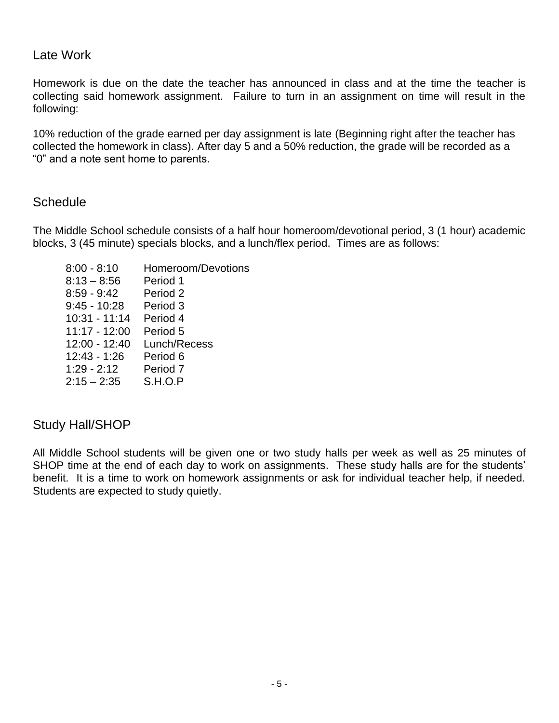#### Late Work

Homework is due on the date the teacher has announced in class and at the time the teacher is collecting said homework assignment. Failure to turn in an assignment on time will result in the following:

10% reduction of the grade earned per day assignment is late (Beginning right after the teacher has collected the homework in class). After day 5 and a 50% reduction, the grade will be recorded as a "0" and a note sent home to parents.

#### **Schedule**

The Middle School schedule consists of a half hour homeroom/devotional period, 3 (1 hour) academic blocks, 3 (45 minute) specials blocks, and a lunch/flex period. Times are as follows:

| $8:00 - 8:10$   | Homeroom/Devotions |
|-----------------|--------------------|
| $8:13 - 8:56$   | Period 1           |
| $8:59 - 9:42$   | Period 2           |
| $9:45 - 10:28$  | Period 3           |
| $10:31 - 11:14$ | Period 4           |
| $11:17 - 12:00$ | Period 5           |
| 12:00 - 12:40   | Lunch/Recess       |
| $12:43 - 1:26$  | Period 6           |
| $1:29 - 2:12$   | Period 7           |
| $2:15 - 2:35$   | S.H.O.P            |
|                 |                    |

#### Study Hall/SHOP

All Middle School students will be given one or two study halls per week as well as 25 minutes of SHOP time at the end of each day to work on assignments. These study halls are for the students' benefit. It is a time to work on homework assignments or ask for individual teacher help, if needed. Students are expected to study quietly.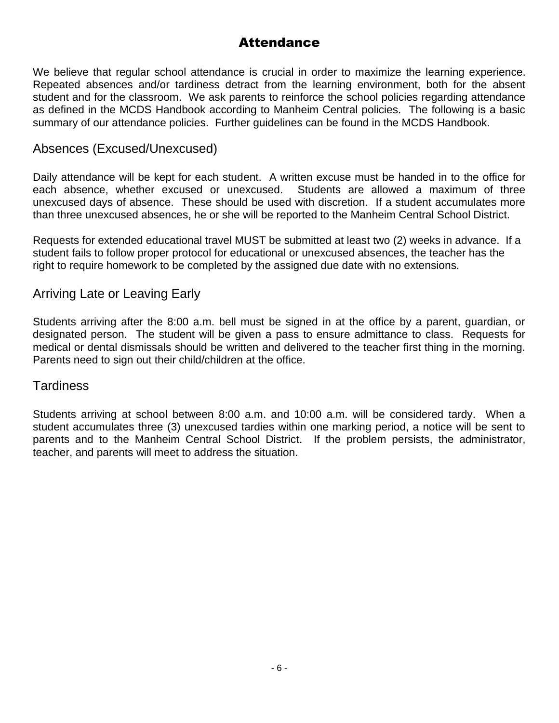## **Attendance**

We believe that regular school attendance is crucial in order to maximize the learning experience. Repeated absences and/or tardiness detract from the learning environment, both for the absent student and for the classroom. We ask parents to reinforce the school policies regarding attendance as defined in the MCDS Handbook according to Manheim Central policies. The following is a basic summary of our attendance policies. Further guidelines can be found in the MCDS Handbook.

#### Absences (Excused/Unexcused)

Daily attendance will be kept for each student. A written excuse must be handed in to the office for each absence, whether excused or unexcused. Students are allowed a maximum of three unexcused days of absence. These should be used with discretion. If a student accumulates more than three unexcused absences, he or she will be reported to the Manheim Central School District.

Requests for extended educational travel MUST be submitted at least two (2) weeks in advance. If a student fails to follow proper protocol for educational or unexcused absences, the teacher has the right to require homework to be completed by the assigned due date with no extensions.

#### Arriving Late or Leaving Early

Students arriving after the 8:00 a.m. bell must be signed in at the office by a parent, guardian, or designated person. The student will be given a pass to ensure admittance to class. Requests for medical or dental dismissals should be written and delivered to the teacher first thing in the morning. Parents need to sign out their child/children at the office.

#### **Tardiness**

Students arriving at school between 8:00 a.m. and 10:00 a.m. will be considered tardy. When a student accumulates three (3) unexcused tardies within one marking period, a notice will be sent to parents and to the Manheim Central School District. If the problem persists, the administrator, teacher, and parents will meet to address the situation.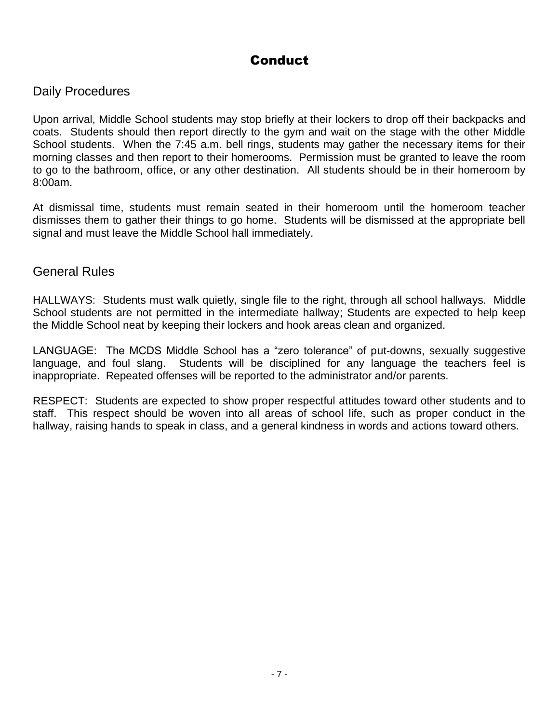# **Conduct**

#### Daily Procedures

Upon arrival, Middle School students may stop briefly at their lockers to drop off their backpacks and coats. Students should then report directly to the gym and wait on the stage with the other Middle School students. When the 7:45 a.m. bell rings, students may gather the necessary items for their morning classes and then report to their homerooms. Permission must be granted to leave the room to go to the bathroom, office, or any other destination. All students should be in their homeroom by 8:00am.

At dismissal time, students must remain seated in their homeroom until the homeroom teacher dismisses them to gather their things to go home. Students will be dismissed at the appropriate bell signal and must leave the Middle School hall immediately.

#### General Rules

HALLWAYS: Students must walk quietly, single file to the right, through all school hallways. Middle School students are not permitted in the intermediate hallway; Students are expected to help keep the Middle School neat by keeping their lockers and hook areas clean and organized.

LANGUAGE: The MCDS Middle School has a "zero tolerance" of put-downs, sexually suggestive language, and foul slang. Students will be disciplined for any language the teachers feel is inappropriate. Repeated offenses will be reported to the administrator and/or parents.

RESPECT: Students are expected to show proper respectful attitudes toward other students and to staff. This respect should be woven into all areas of school life, such as proper conduct in the hallway, raising hands to speak in class, and a general kindness in words and actions toward others.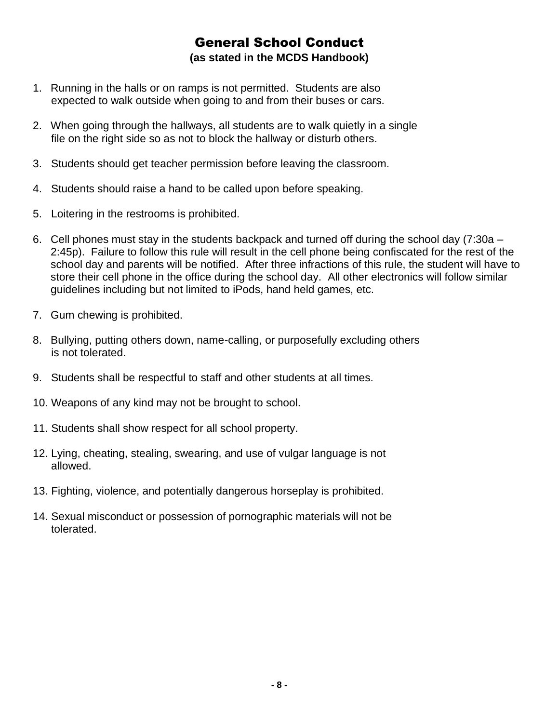#### General School Conduct **(as stated in the MCDS Handbook)**

- 1. Running in the halls or on ramps is not permitted. Students are also expected to walk outside when going to and from their buses or cars.
- 2. When going through the hallways, all students are to walk quietly in a single file on the right side so as not to block the hallway or disturb others.
- 3. Students should get teacher permission before leaving the classroom.
- 4. Students should raise a hand to be called upon before speaking.
- 5. Loitering in the restrooms is prohibited.
- 6. Cell phones must stay in the students backpack and turned off during the school day (7:30a 2:45p). Failure to follow this rule will result in the cell phone being confiscated for the rest of the school day and parents will be notified. After three infractions of this rule, the student will have to store their cell phone in the office during the school day. All other electronics will follow similar guidelines including but not limited to iPods, hand held games, etc.
- 7. Gum chewing is prohibited.
- 8. Bullying, putting others down, name-calling, or purposefully excluding others is not tolerated.
- 9. Students shall be respectful to staff and other students at all times.
- 10. Weapons of any kind may not be brought to school.
- 11. Students shall show respect for all school property.
- 12. Lying, cheating, stealing, swearing, and use of vulgar language is not allowed.
- 13. Fighting, violence, and potentially dangerous horseplay is prohibited.
- 14. Sexual misconduct or possession of pornographic materials will not be tolerated.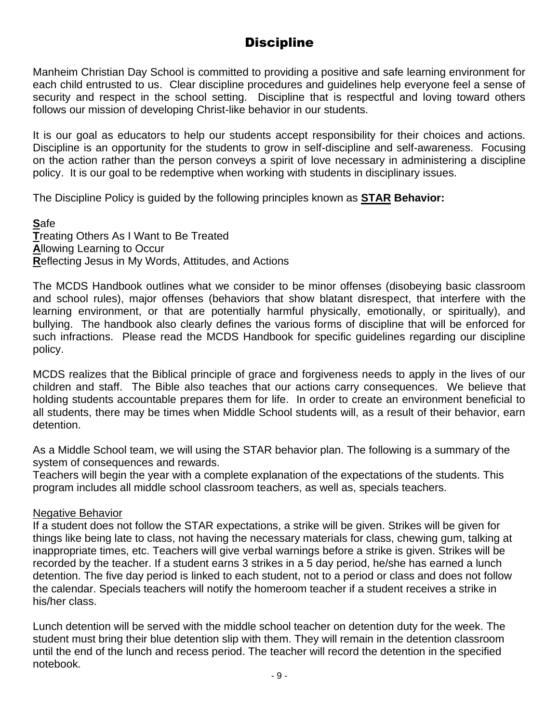# **Discipline**

Manheim Christian Day School is committed to providing a positive and safe learning environment for each child entrusted to us. Clear discipline procedures and guidelines help everyone feel a sense of security and respect in the school setting. Discipline that is respectful and loving toward others follows our mission of developing Christ-like behavior in our students.

It is our goal as educators to help our students accept responsibility for their choices and actions. Discipline is an opportunity for the students to grow in self-discipline and self-awareness. Focusing on the action rather than the person conveys a spirit of love necessary in administering a discipline policy. It is our goal to be redemptive when working with students in disciplinary issues.

The Discipline Policy is guided by the following principles known as **STAR Behavior:**

**S**afe **T**reating Others As I Want to Be Treated **A**llowing Learning to Occur **R**eflecting Jesus in My Words, Attitudes, and Actions

The MCDS Handbook outlines what we consider to be minor offenses (disobeying basic classroom and school rules), major offenses (behaviors that show blatant disrespect, that interfere with the learning environment, or that are potentially harmful physically, emotionally, or spiritually), and bullying. The handbook also clearly defines the various forms of discipline that will be enforced for such infractions. Please read the MCDS Handbook for specific guidelines regarding our discipline policy.

MCDS realizes that the Biblical principle of grace and forgiveness needs to apply in the lives of our children and staff. The Bible also teaches that our actions carry consequences. We believe that holding students accountable prepares them for life. In order to create an environment beneficial to all students, there may be times when Middle School students will, as a result of their behavior, earn detention.

As a Middle School team, we will using the STAR behavior plan. The following is a summary of the system of consequences and rewards.

Teachers will begin the year with a complete explanation of the expectations of the students. This program includes all middle school classroom teachers, as well as, specials teachers.

#### Negative Behavior

If a student does not follow the STAR expectations, a strike will be given. Strikes will be given for things like being late to class, not having the necessary materials for class, chewing gum, talking at inappropriate times, etc. Teachers will give verbal warnings before a strike is given. Strikes will be recorded by the teacher. If a student earns 3 strikes in a 5 day period, he/she has earned a lunch detention. The five day period is linked to each student, not to a period or class and does not follow the calendar. Specials teachers will notify the homeroom teacher if a student receives a strike in his/her class.

Lunch detention will be served with the middle school teacher on detention duty for the week. The student must bring their blue detention slip with them. They will remain in the detention classroom until the end of the lunch and recess period. The teacher will record the detention in the specified notebook.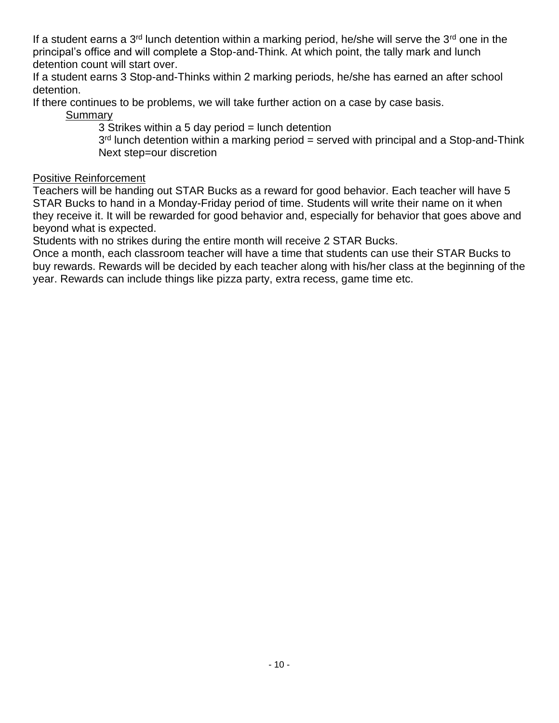If a student earns a  $3<sup>rd</sup>$  lunch detention within a marking period, he/she will serve the  $3<sup>rd</sup>$  one in the principal's office and will complete a Stop-and-Think. At which point, the tally mark and lunch detention count will start over.

If a student earns 3 Stop-and-Thinks within 2 marking periods, he/she has earned an after school detention.

If there continues to be problems, we will take further action on a case by case basis.

**Summary** 

3 Strikes within a 5 day period = lunch detention

3<sup>rd</sup> lunch detention within a marking period = served with principal and a Stop-and-Think Next step=our discretion

#### Positive Reinforcement

Teachers will be handing out STAR Bucks as a reward for good behavior. Each teacher will have 5 STAR Bucks to hand in a Monday-Friday period of time. Students will write their name on it when they receive it. It will be rewarded for good behavior and, especially for behavior that goes above and beyond what is expected.

Students with no strikes during the entire month will receive 2 STAR Bucks.

Once a month, each classroom teacher will have a time that students can use their STAR Bucks to buy rewards. Rewards will be decided by each teacher along with his/her class at the beginning of the year. Rewards can include things like pizza party, extra recess, game time etc.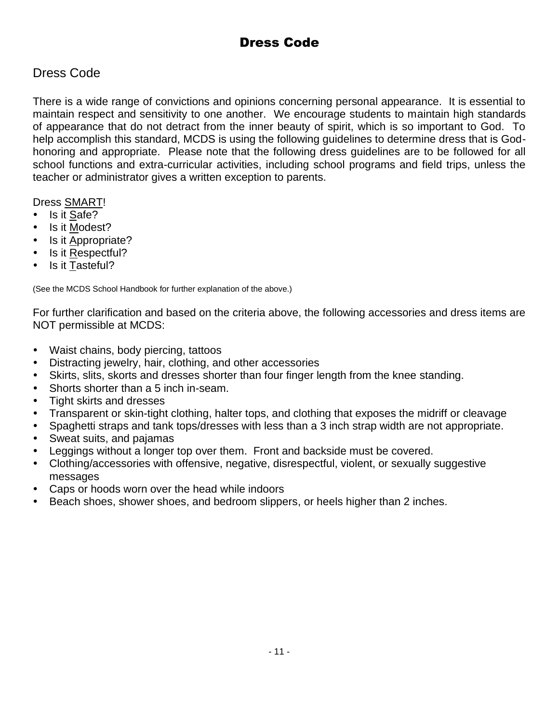# Dress Code

## Dress Code

There is a wide range of convictions and opinions concerning personal appearance. It is essential to maintain respect and sensitivity to one another. We encourage students to maintain high standards of appearance that do not detract from the inner beauty of spirit, which is so important to God. To help accomplish this standard, MCDS is using the following guidelines to determine dress that is Godhonoring and appropriate. Please note that the following dress guidelines are to be followed for all school functions and extra-curricular activities, including school programs and field trips, unless the teacher or administrator gives a written exception to parents.

#### Dress SMART!

- Is it Safe?
- Is it Modest?
- Is it Appropriate?
- Is it Respectful?
- Is it Tasteful?

(See the MCDS School Handbook for further explanation of the above.)

For further clarification and based on the criteria above, the following accessories and dress items are NOT permissible at MCDS:

- Waist chains, body piercing, tattoos
- Distracting jewelry, hair, clothing, and other accessories
- Skirts, slits, skorts and dresses shorter than four finger length from the knee standing.
- Shorts shorter than a 5 inch in-seam.
- Tight skirts and dresses
- Transparent or skin-tight clothing, halter tops, and clothing that exposes the midriff or cleavage
- Spaghetti straps and tank tops/dresses with less than a 3 inch strap width are not appropriate.
- Sweat suits, and pajamas
- Leggings without a longer top over them. Front and backside must be covered.
- Clothing/accessories with offensive, negative, disrespectful, violent, or sexually suggestive messages
- Caps or hoods worn over the head while indoors
- Beach shoes, shower shoes, and bedroom slippers, or heels higher than 2 inches.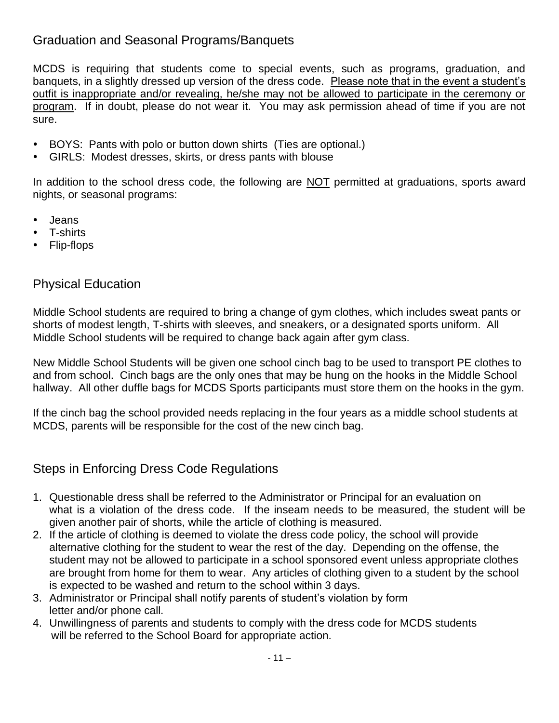# Graduation and Seasonal Programs/Banquets

MCDS is requiring that students come to special events, such as programs, graduation, and banquets, in a slightly dressed up version of the dress code. Please note that in the event a student's outfit is inappropriate and/or revealing, he/she may not be allowed to participate in the ceremony or program. If in doubt, please do not wear it. You may ask permission ahead of time if you are not sure.

- BOYS: Pants with polo or button down shirts (Ties are optional.)
- GIRLS: Modest dresses, skirts, or dress pants with blouse

In addition to the school dress code, the following are NOT permitted at graduations, sports award nights, or seasonal programs:

- Jeans
- T-shirts
- Flip-flops

### Physical Education

Middle School students are required to bring a change of gym clothes, which includes sweat pants or shorts of modest length, T-shirts with sleeves, and sneakers, or a designated sports uniform. All Middle School students will be required to change back again after gym class.

New Middle School Students will be given one school cinch bag to be used to transport PE clothes to and from school. Cinch bags are the only ones that may be hung on the hooks in the Middle School hallway. All other duffle bags for MCDS Sports participants must store them on the hooks in the gym.

If the cinch bag the school provided needs replacing in the four years as a middle school students at MCDS, parents will be responsible for the cost of the new cinch bag.

### Steps in Enforcing Dress Code Regulations

- 1. Questionable dress shall be referred to the Administrator or Principal for an evaluation on what is a violation of the dress code. If the inseam needs to be measured, the student will be given another pair of shorts, while the article of clothing is measured.
- 2. If the article of clothing is deemed to violate the dress code policy, the school will provide alternative clothing for the student to wear the rest of the day. Depending on the offense, the student may not be allowed to participate in a school sponsored event unless appropriate clothes are brought from home for them to wear. Any articles of clothing given to a student by the school is expected to be washed and return to the school within 3 days.
- 3. Administrator or Principal shall notify parents of student's violation by form letter and/or phone call.
- 4. Unwillingness of parents and students to comply with the dress code for MCDS students will be referred to the School Board for appropriate action.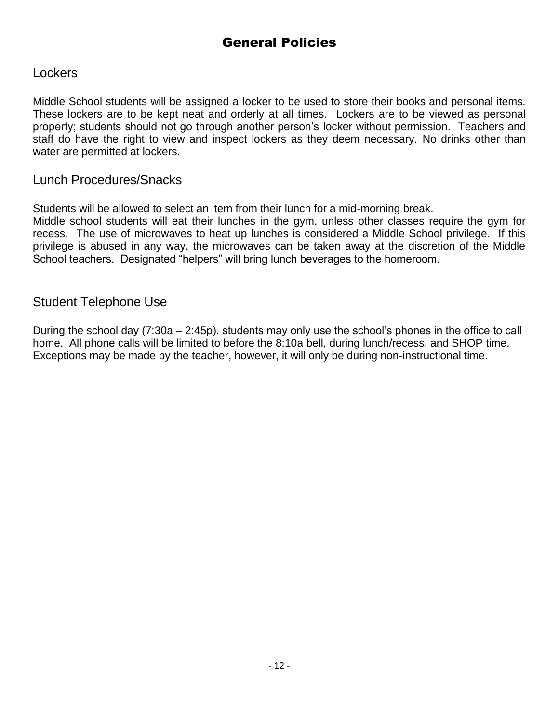# General Policies

#### **Lockers**

Middle School students will be assigned a locker to be used to store their books and personal items. These lockers are to be kept neat and orderly at all times. Lockers are to be viewed as personal property; students should not go through another person's locker without permission. Teachers and staff do have the right to view and inspect lockers as they deem necessary. No drinks other than water are permitted at lockers.

#### Lunch Procedures/Snacks

Students will be allowed to select an item from their lunch for a mid-morning break.

Middle school students will eat their lunches in the gym, unless other classes require the gym for recess. The use of microwaves to heat up lunches is considered a Middle School privilege. If this privilege is abused in any way, the microwaves can be taken away at the discretion of the Middle School teachers. Designated "helpers" will bring lunch beverages to the homeroom.

#### Student Telephone Use

During the school day (7:30a – 2:45p), students may only use the school's phones in the office to call home. All phone calls will be limited to before the 8:10a bell, during lunch/recess, and SHOP time. Exceptions may be made by the teacher, however, it will only be during non-instructional time.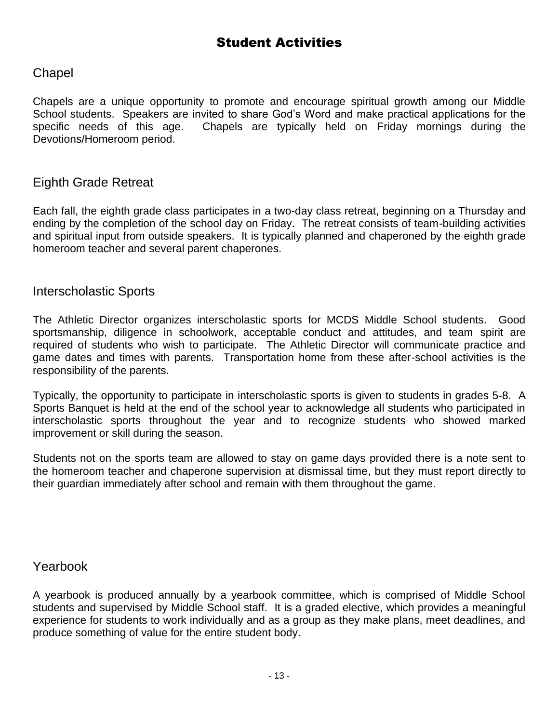#### **Chapel**

Chapels are a unique opportunity to promote and encourage spiritual growth among our Middle School students. Speakers are invited to share God's Word and make practical applications for the specific needs of this age. Chapels are typically held on Friday mornings during the Devotions/Homeroom period.

## Eighth Grade Retreat

Each fall, the eighth grade class participates in a two-day class retreat, beginning on a Thursday and ending by the completion of the school day on Friday. The retreat consists of team-building activities and spiritual input from outside speakers. It is typically planned and chaperoned by the eighth grade homeroom teacher and several parent chaperones.

#### Interscholastic Sports

The Athletic Director organizes interscholastic sports for MCDS Middle School students. Good sportsmanship, diligence in schoolwork, acceptable conduct and attitudes, and team spirit are required of students who wish to participate. The Athletic Director will communicate practice and game dates and times with parents. Transportation home from these after-school activities is the responsibility of the parents.

Typically, the opportunity to participate in interscholastic sports is given to students in grades 5-8. A Sports Banquet is held at the end of the school year to acknowledge all students who participated in interscholastic sports throughout the year and to recognize students who showed marked improvement or skill during the season.

Students not on the sports team are allowed to stay on game days provided there is a note sent to the homeroom teacher and chaperone supervision at dismissal time, but they must report directly to their guardian immediately after school and remain with them throughout the game.

#### Yearbook

A yearbook is produced annually by a yearbook committee, which is comprised of Middle School students and supervised by Middle School staff. It is a graded elective, which provides a meaningful experience for students to work individually and as a group as they make plans, meet deadlines, and produce something of value for the entire student body.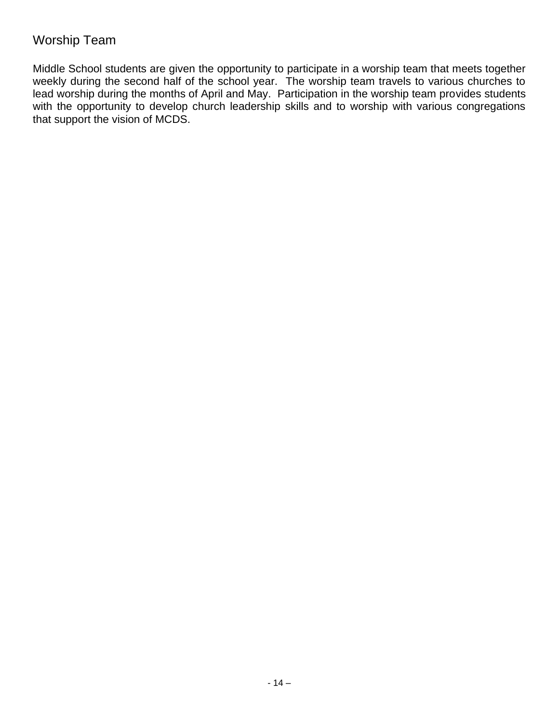### Worship Team

Middle School students are given the opportunity to participate in a worship team that meets together weekly during the second half of the school year. The worship team travels to various churches to lead worship during the months of April and May. Participation in the worship team provides students with the opportunity to develop church leadership skills and to worship with various congregations that support the vision of MCDS.